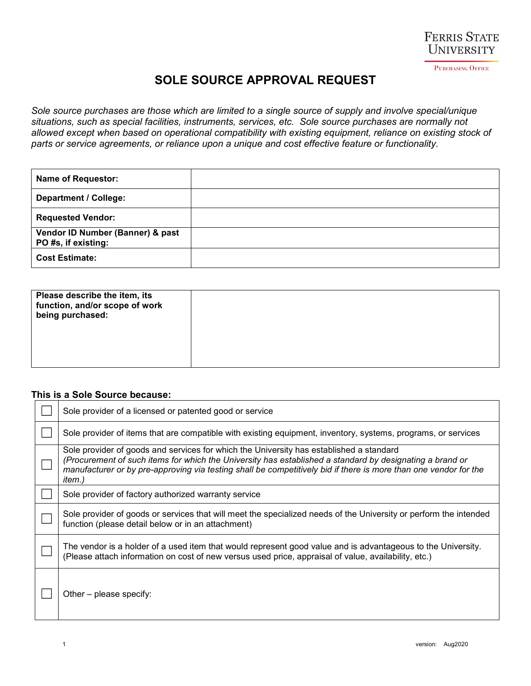

## **SOLE SOURCE APPROVAL REQUEST**

*Sole source purchases are those which are limited to a single source of supply and involve special/unique situations, such as special facilities, instruments, services, etc. Sole source purchases are normally not allowed except when based on operational compatibility with existing equipment, reliance on existing stock of parts or service agreements, or reliance upon a unique and cost effective feature or functionality.*

| <b>Name of Requestor:</b>                               |  |
|---------------------------------------------------------|--|
| <b>Department / College:</b>                            |  |
| <b>Requested Vendor:</b>                                |  |
| Vendor ID Number (Banner) & past<br>PO #s, if existing: |  |
| <b>Cost Estimate:</b>                                   |  |

| Please describe the item, its<br>function, and/or scope of work<br>being purchased: |  |
|-------------------------------------------------------------------------------------|--|
|                                                                                     |  |

## **This is a Sole Source because:**

| Sole provider of a licensed or patented good or service                                                                                                                                                                                                                                                                           |  |  |
|-----------------------------------------------------------------------------------------------------------------------------------------------------------------------------------------------------------------------------------------------------------------------------------------------------------------------------------|--|--|
| Sole provider of items that are compatible with existing equipment, inventory, systems, programs, or services                                                                                                                                                                                                                     |  |  |
| Sole provider of goods and services for which the University has established a standard<br>(Procurement of such items for which the University has established a standard by designating a brand or<br>manufacturer or by pre-approving via testing shall be competitively bid if there is more than one vendor for the<br>item.) |  |  |
| Sole provider of factory authorized warranty service                                                                                                                                                                                                                                                                              |  |  |
| Sole provider of goods or services that will meet the specialized needs of the University or perform the intended<br>function (please detail below or in an attachment)                                                                                                                                                           |  |  |
| The vendor is a holder of a used item that would represent good value and is advantageous to the University.<br>(Please attach information on cost of new versus used price, appraisal of value, availability, etc.)                                                                                                              |  |  |
| Other – please specify:                                                                                                                                                                                                                                                                                                           |  |  |